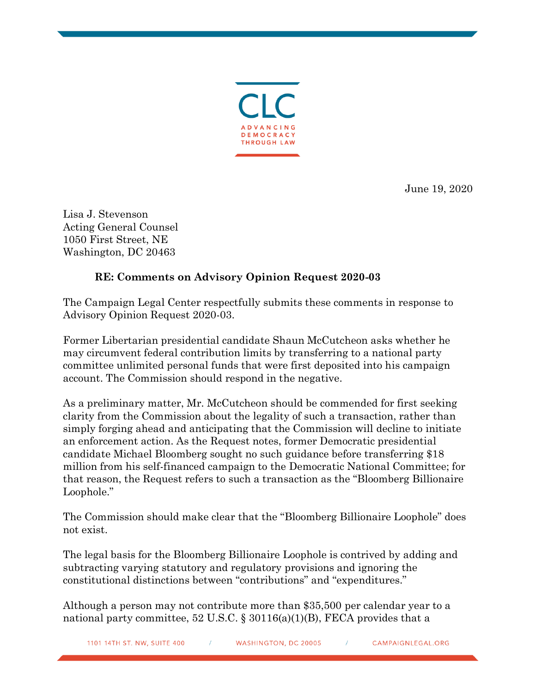

June 19, 2020

Lisa J. Stevenson Acting General Counsel 1050 First Street, NE Washington, DC 20463

## **RE: Comments on Advisory Opinion Request 2020-03**

The Campaign Legal Center respectfully submits these comments in response to Advisory Opinion Request 2020-03.

Former Libertarian presidential candidate Shaun McCutcheon asks whether he may circumvent federal contribution limits by transferring to a national party committee unlimited personal funds that were first deposited into his campaign account. The Commission should respond in the negative.

As a preliminary matter, Mr. McCutcheon should be commended for first seeking clarity from the Commission about the legality of such a transaction, rather than simply forging ahead and anticipating that the Commission will decline to initiate an enforcement action. As the Request notes, former Democratic presidential candidate Michael Bloomberg sought no such guidance before transferring \$18 million from his self-financed campaign to the Democratic National Committee; for that reason, the Request refers to such a transaction as the "Bloomberg Billionaire Loophole."

The Commission should make clear that the "Bloomberg Billionaire Loophole" does not exist.

The legal basis for the Bloomberg Billionaire Loophole is contrived by adding and subtracting varying statutory and regulatory provisions and ignoring the constitutional distinctions between "contributions" and "expenditures."

Although a person may not contribute more than \$35,500 per calendar year to a national party committee, 52 U.S.C.  $\S 30116(a)(1)(B)$ , FECA provides that a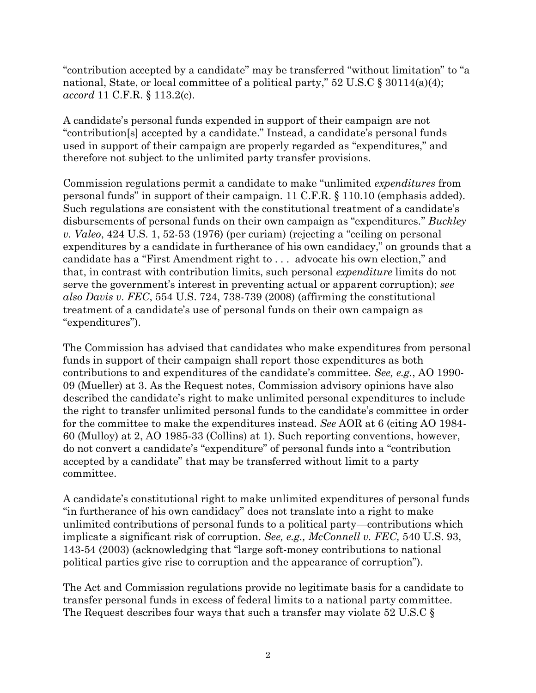"contribution accepted by a candidate" may be transferred "without limitation" to "a national, State, or local committee of a political party," 52 U.S.C § 30114(a)(4); *accord* 11 C.F.R. § 113.2(c).

A candidate's personal funds expended in support of their campaign are not "contribution[s] accepted by a candidate." Instead, a candidate's personal funds used in support of their campaign are properly regarded as "expenditures," and therefore not subject to the unlimited party transfer provisions.

Commission regulations permit a candidate to make "unlimited *expenditures* from personal funds" in support of their campaign. 11 C.F.R. § 110.10 (emphasis added). Such regulations are consistent with the constitutional treatment of a candidate's disbursements of personal funds on their own campaign as "expenditures." *Buckley v. Valeo*, 424 U.S. 1, 52-53 (1976) (per curiam) (rejecting a "ceiling on personal expenditures by a candidate in furtherance of his own candidacy," on grounds that a candidate has a "First Amendment right to . . . advocate his own election," and that, in contrast with contribution limits, such personal *expenditure* limits do not serve the government's interest in preventing actual or apparent corruption); *see also Davis v. FEC*, 554 U.S. 724, 738-739 (2008) (affirming the constitutional treatment of a candidate's use of personal funds on their own campaign as "expenditures").

The Commission has advised that candidates who make expenditures from personal funds in support of their campaign shall report those expenditures as both contributions to and expenditures of the candidate's committee. *See, e.g.*, AO 1990- 09 (Mueller) at 3. As the Request notes, Commission advisory opinions have also described the candidate's right to make unlimited personal expenditures to include the right to transfer unlimited personal funds to the candidate's committee in order for the committee to make the expenditures instead. *See* AOR at 6 (citing AO 1984- 60 (Mulloy) at 2, AO 1985-33 (Collins) at 1). Such reporting conventions, however, do not convert a candidate's "expenditure" of personal funds into a "contribution accepted by a candidate" that may be transferred without limit to a party committee.

A candidate's constitutional right to make unlimited expenditures of personal funds "in furtherance of his own candidacy" does not translate into a right to make unlimited contributions of personal funds to a political party—contributions which implicate a significant risk of corruption. *See, e.g., McConnell v. FEC,* 540 U.S. 93, 143-54 (2003) (acknowledging that "large soft-money contributions to national political parties give rise to corruption and the appearance of corruption").

The Act and Commission regulations provide no legitimate basis for a candidate to transfer personal funds in excess of federal limits to a national party committee. The Request describes four ways that such a transfer may violate 52 U.S.C §